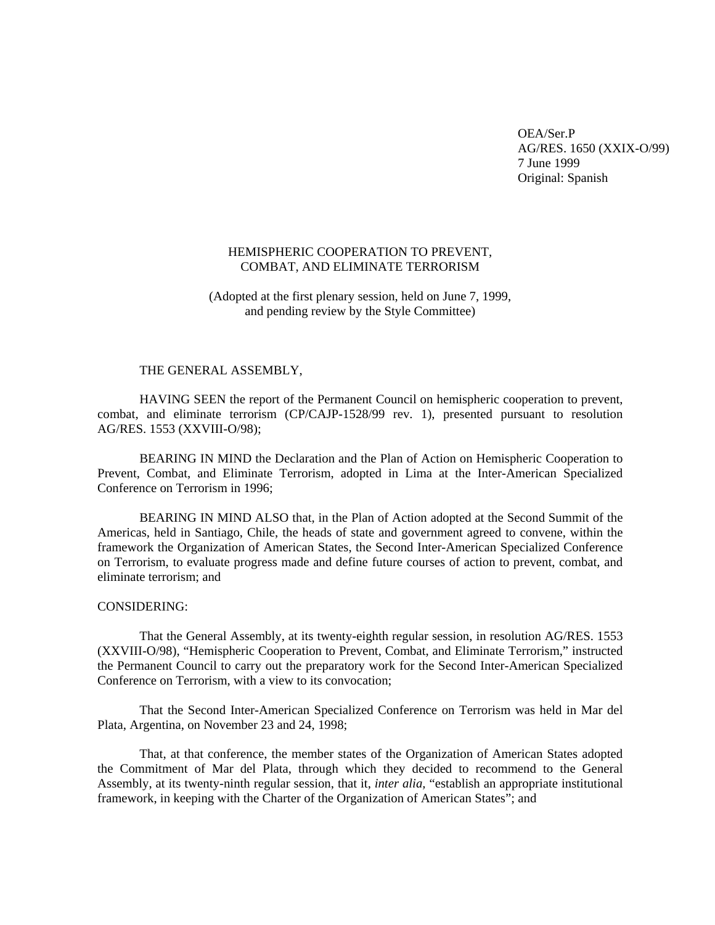OEA/Ser.P AG/RES. 1650 (XXIX-O/99) 7 June 1999 Original: Spanish

## HEMISPHERIC COOPERATION TO PREVENT, COMBAT, AND ELIMINATE TERRORISM

(Adopted at the first plenary session, held on June 7, 1999, and pending review by the Style Committee)

#### THE GENERAL ASSEMBLY,

HAVING SEEN the report of the Permanent Council on hemispheric cooperation to prevent, combat, and eliminate terrorism (CP/CAJP-1528/99 rev. 1), presented pursuant to resolution AG/RES. 1553 (XXVIII-O/98);

BEARING IN MIND the Declaration and the Plan of Action on Hemispheric Cooperation to Prevent, Combat, and Eliminate Terrorism, adopted in Lima at the Inter-American Specialized Conference on Terrorism in 1996;

BEARING IN MIND ALSO that, in the Plan of Action adopted at the Second Summit of the Americas, held in Santiago, Chile, the heads of state and government agreed to convene, within the framework the Organization of American States, the Second Inter-American Specialized Conference on Terrorism, to evaluate progress made and define future courses of action to prevent, combat, and eliminate terrorism; and

## CONSIDERING:

That the General Assembly, at its twenty-eighth regular session, in resolution AG/RES. 1553 (XXVIII-O/98), "Hemispheric Cooperation to Prevent, Combat, and Eliminate Terrorism," instructed the Permanent Council to carry out the preparatory work for the Second Inter-American Specialized Conference on Terrorism, with a view to its convocation;

That the Second Inter-American Specialized Conference on Terrorism was held in Mar del Plata, Argentina, on November 23 and 24, 1998;

That, at that conference, the member states of the Organization of American States adopted the Commitment of Mar del Plata, through which they decided to recommend to the General Assembly, at its twenty-ninth regular session, that it, *inter alia,* "establish an appropriate institutional framework, in keeping with the Charter of the Organization of American States"; and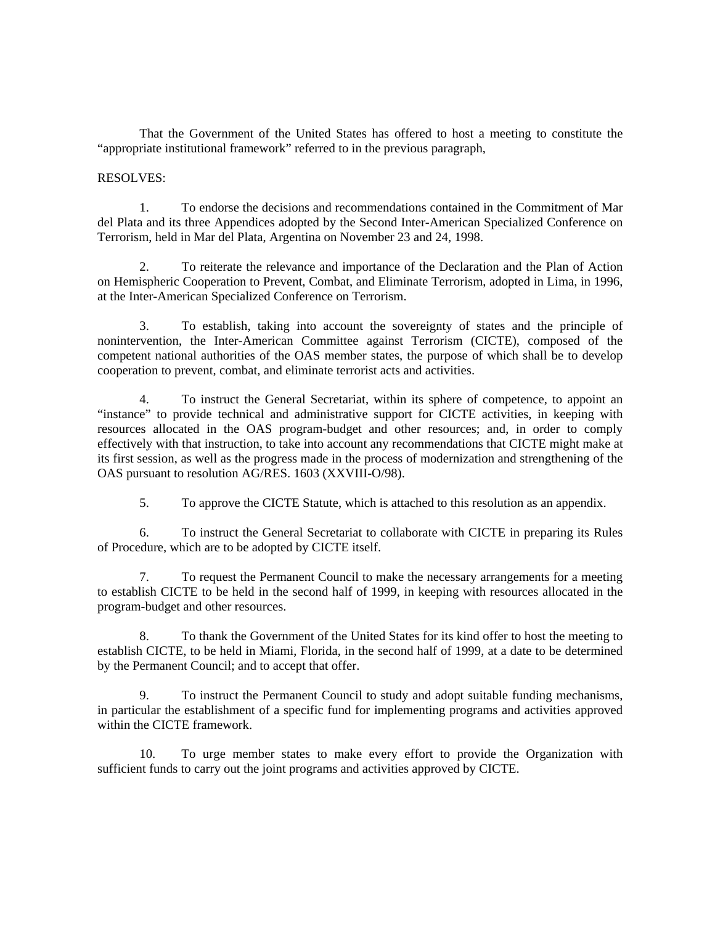That the Government of the United States has offered to host a meeting to constitute the "appropriate institutional framework" referred to in the previous paragraph,

### RESOLVES:

1. To endorse the decisions and recommendations contained in the Commitment of Mar del Plata and its three Appendices adopted by the Second Inter-American Specialized Conference on Terrorism, held in Mar del Plata, Argentina on November 23 and 24, 1998.

2. To reiterate the relevance and importance of the Declaration and the Plan of Action on Hemispheric Cooperation to Prevent, Combat, and Eliminate Terrorism, adopted in Lima, in 1996, at the Inter-American Specialized Conference on Terrorism.

3. To establish, taking into account the sovereignty of states and the principle of nonintervention, the Inter-American Committee against Terrorism (CICTE), composed of the competent national authorities of the OAS member states, the purpose of which shall be to develop cooperation to prevent, combat, and eliminate terrorist acts and activities.

4. To instruct the General Secretariat, within its sphere of competence, to appoint an "instance" to provide technical and administrative support for CICTE activities, in keeping with resources allocated in the OAS program-budget and other resources; and, in order to comply effectively with that instruction, to take into account any recommendations that CICTE might make at its first session, as well as the progress made in the process of modernization and strengthening of the OAS pursuant to resolution AG/RES. 1603 (XXVIII-O/98).

5. To approve the CICTE Statute, which is attached to this resolution as an appendix.

6. To instruct the General Secretariat to collaborate with CICTE in preparing its Rules of Procedure, which are to be adopted by CICTE itself.

7. To request the Permanent Council to make the necessary arrangements for a meeting to establish CICTE to be held in the second half of 1999, in keeping with resources allocated in the program-budget and other resources.

8. To thank the Government of the United States for its kind offer to host the meeting to establish CICTE, to be held in Miami, Florida, in the second half of 1999, at a date to be determined by the Permanent Council; and to accept that offer.

9. To instruct the Permanent Council to study and adopt suitable funding mechanisms, in particular the establishment of a specific fund for implementing programs and activities approved within the CICTE framework.

10. To urge member states to make every effort to provide the Organization with sufficient funds to carry out the joint programs and activities approved by CICTE.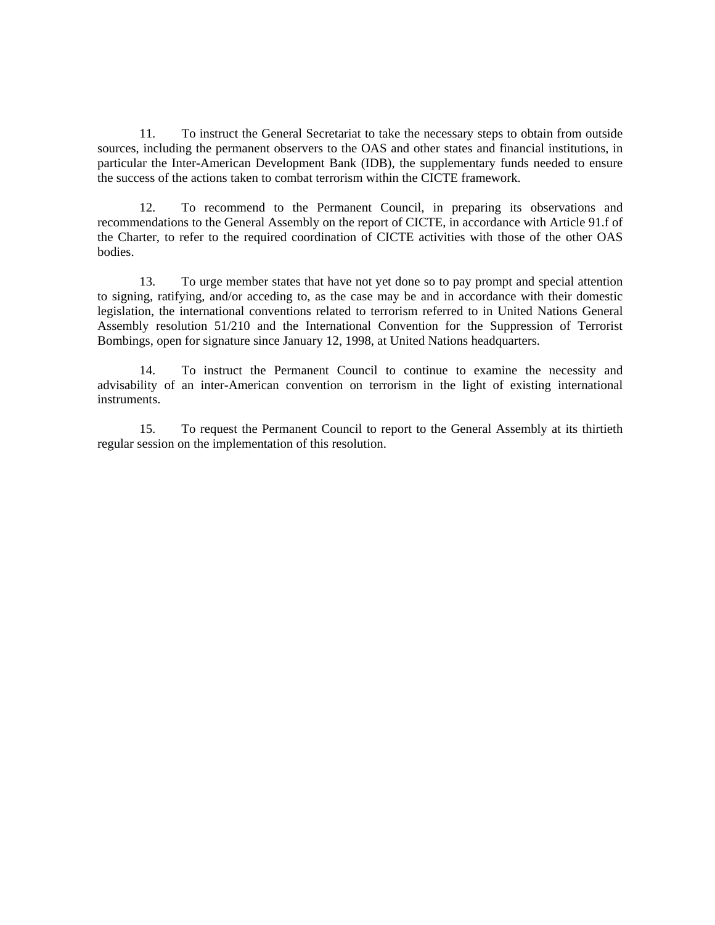11. To instruct the General Secretariat to take the necessary steps to obtain from outside sources, including the permanent observers to the OAS and other states and financial institutions, in particular the Inter-American Development Bank (IDB), the supplementary funds needed to ensure the success of the actions taken to combat terrorism within the CICTE framework.

12. To recommend to the Permanent Council, in preparing its observations and recommendations to the General Assembly on the report of CICTE, in accordance with Article 91.f of the Charter, to refer to the required coordination of CICTE activities with those of the other OAS bodies.

13. To urge member states that have not yet done so to pay prompt and special attention to signing, ratifying, and/or acceding to, as the case may be and in accordance with their domestic legislation, the international conventions related to terrorism referred to in United Nations General Assembly resolution 51/210 and the International Convention for the Suppression of Terrorist Bombings, open for signature since January 12, 1998, at United Nations headquarters.

14. To instruct the Permanent Council to continue to examine the necessity and advisability of an inter-American convention on terrorism in the light of existing international instruments.

15. To request the Permanent Council to report to the General Assembly at its thirtieth regular session on the implementation of this resolution.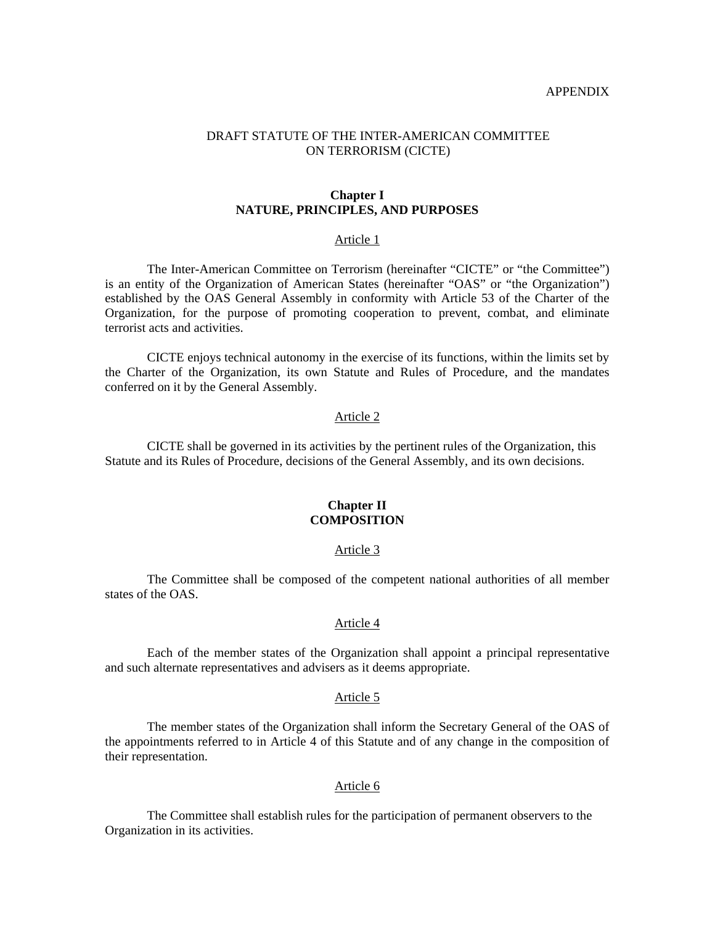#### APPENDIX

## DRAFT STATUTE OF THE INTER-AMERICAN COMMITTEE ON TERRORISM (CICTE)

### **Chapter I NATURE, PRINCIPLES, AND PURPOSES**

#### Article 1

The Inter-American Committee on Terrorism (hereinafter "CICTE" or "the Committee") is an entity of the Organization of American States (hereinafter "OAS" or "the Organization") established by the OAS General Assembly in conformity with Article 53 of the Charter of the Organization, for the purpose of promoting cooperation to prevent, combat, and eliminate terrorist acts and activities.

CICTE enjoys technical autonomy in the exercise of its functions, within the limits set by the Charter of the Organization, its own Statute and Rules of Procedure, and the mandates conferred on it by the General Assembly.

## Article 2

 CICTE shall be governed in its activities by the pertinent rules of the Organization, this Statute and its Rules of Procedure, decisions of the General Assembly, and its own decisions.

## **Chapter II COMPOSITION**

### Article 3

The Committee shall be composed of the competent national authorities of all member states of the OAS.

### Article 4

 Each of the member states of the Organization shall appoint a principal representative and such alternate representatives and advisers as it deems appropriate.

#### Article 5

 The member states of the Organization shall inform the Secretary General of the OAS of the appointments referred to in Article 4 of this Statute and of any change in the composition of their representation.

#### Article 6

 The Committee shall establish rules for the participation of permanent observers to the Organization in its activities.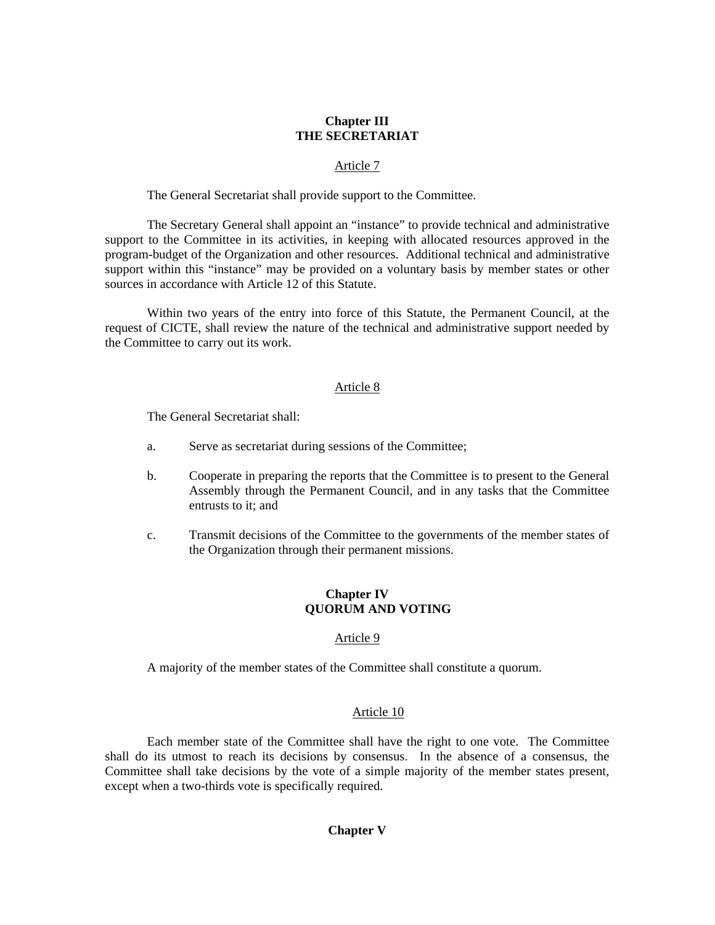# **Chapter III THE SECRETARIAT**

## Article 7

The General Secretariat shall provide support to the Committee.

 The Secretary General shall appoint an "instance" to provide technical and administrative support to the Committee in its activities, in keeping with allocated resources approved in the program-budget of the Organization and other resources. Additional technical and administrative support within this "instance" may be provided on a voluntary basis by member states or other sources in accordance with Article 12 of this Statute.

Within two years of the entry into force of this Statute, the Permanent Council, at the request of CICTE, shall review the nature of the technical and administrative support needed by the Committee to carry out its work.

## Article 8

The General Secretariat shall:

- a. Serve as secretariat during sessions of the Committee;
- b. Cooperate in preparing the reports that the Committee is to present to the General Assembly through the Permanent Council, and in any tasks that the Committee entrusts to it; and
- c. Transmit decisions of the Committee to the governments of the member states of the Organization through their permanent missions.

# **Chapter IV QUORUM AND VOTING**

# Article 9

A majority of the member states of the Committee shall constitute a quorum.

# Article 10

 Each member state of the Committee shall have the right to one vote. The Committee shall do its utmost to reach its decisions by consensus. In the absence of a consensus, the Committee shall take decisions by the vote of a simple majority of the member states present, except when a two-thirds vote is specifically required.

# **Chapter V**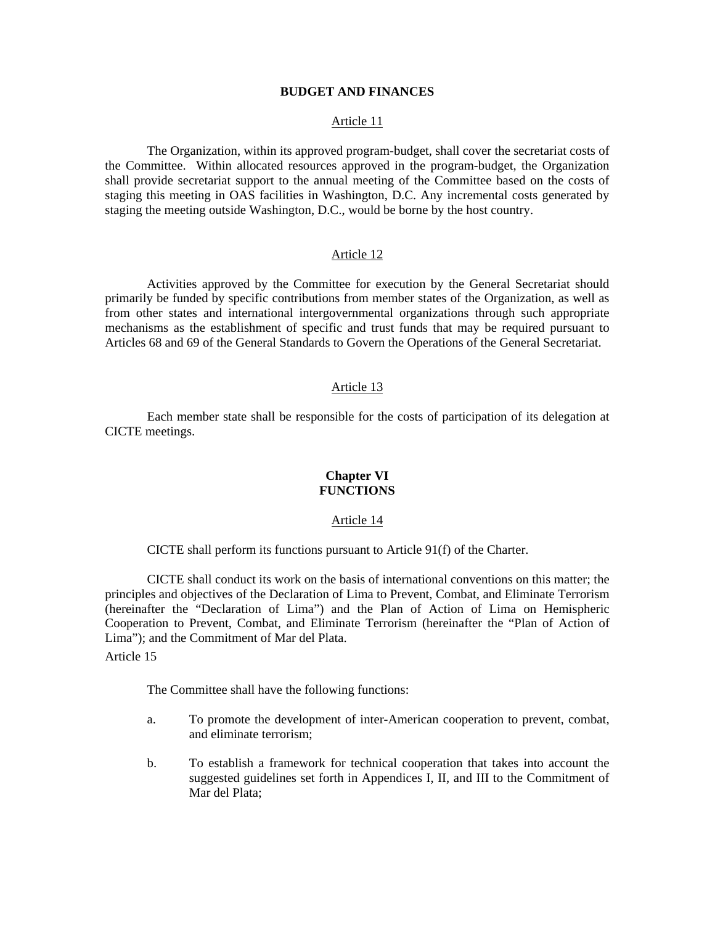## **BUDGET AND FINANCES**

#### Article 11

The Organization, within its approved program-budget, shall cover the secretariat costs of the Committee. Within allocated resources approved in the program-budget, the Organization shall provide secretariat support to the annual meeting of the Committee based on the costs of staging this meeting in OAS facilities in Washington, D.C. Any incremental costs generated by staging the meeting outside Washington, D.C., would be borne by the host country.

#### Article 12

 Activities approved by the Committee for execution by the General Secretariat should primarily be funded by specific contributions from member states of the Organization, as well as from other states and international intergovernmental organizations through such appropriate mechanisms as the establishment of specific and trust funds that may be required pursuant to Articles 68 and 69 of the General Standards to Govern the Operations of the General Secretariat.

### Article 13

 Each member state shall be responsible for the costs of participation of its delegation at CICTE meetings.

## **Chapter VI FUNCTIONS**

### Article 14

CICTE shall perform its functions pursuant to Article 91(f) of the Charter.

CICTE shall conduct its work on the basis of international conventions on this matter; the principles and objectives of the Declaration of Lima to Prevent, Combat, and Eliminate Terrorism (hereinafter the "Declaration of Lima") and the Plan of Action of Lima on Hemispheric Cooperation to Prevent, Combat, and Eliminate Terrorism (hereinafter the "Plan of Action of Lima"); and the Commitment of Mar del Plata.

Article 15

The Committee shall have the following functions:

- a. To promote the development of inter-American cooperation to prevent, combat, and eliminate terrorism;
- b. To establish a framework for technical cooperation that takes into account the suggested guidelines set forth in Appendices I, II, and III to the Commitment of Mar del Plata;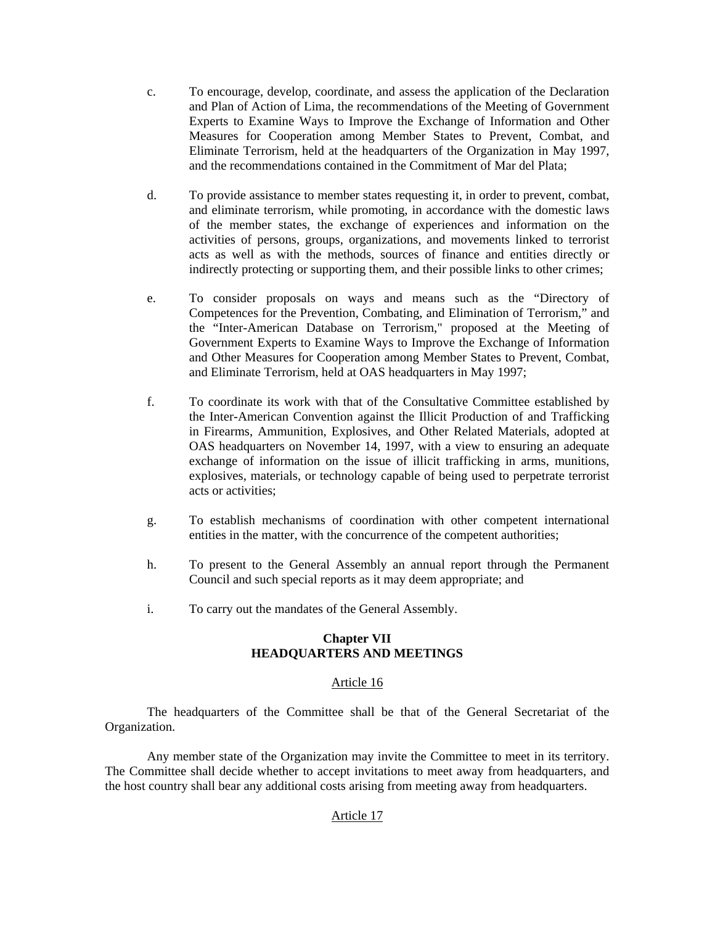- c. To encourage, develop, coordinate, and assess the application of the Declaration and Plan of Action of Lima, the recommendations of the Meeting of Government Experts to Examine Ways to Improve the Exchange of Information and Other Measures for Cooperation among Member States to Prevent, Combat, and Eliminate Terrorism, held at the headquarters of the Organization in May 1997, and the recommendations contained in the Commitment of Mar del Plata;
- d. To provide assistance to member states requesting it, in order to prevent, combat, and eliminate terrorism, while promoting, in accordance with the domestic laws of the member states, the exchange of experiences and information on the activities of persons, groups, organizations, and movements linked to terrorist acts as well as with the methods, sources of finance and entities directly or indirectly protecting or supporting them, and their possible links to other crimes;
- e. To consider proposals on ways and means such as the "Directory of Competences for the Prevention, Combating, and Elimination of Terrorism," and the "Inter-American Database on Terrorism," proposed at the Meeting of Government Experts to Examine Ways to Improve the Exchange of Information and Other Measures for Cooperation among Member States to Prevent, Combat, and Eliminate Terrorism, held at OAS headquarters in May 1997;
- f. To coordinate its work with that of the Consultative Committee established by the Inter-American Convention against the Illicit Production of and Trafficking in Firearms, Ammunition, Explosives, and Other Related Materials, adopted at OAS headquarters on November 14, 1997, with a view to ensuring an adequate exchange of information on the issue of illicit trafficking in arms, munitions, explosives, materials, or technology capable of being used to perpetrate terrorist acts or activities;
- g. To establish mechanisms of coordination with other competent international entities in the matter, with the concurrence of the competent authorities;
- h. To present to the General Assembly an annual report through the Permanent Council and such special reports as it may deem appropriate; and
- i. To carry out the mandates of the General Assembly.

### **Chapter VII HEADQUARTERS AND MEETINGS**

## Article 16

The headquarters of the Committee shall be that of the General Secretariat of the Organization.

Any member state of the Organization may invite the Committee to meet in its territory. The Committee shall decide whether to accept invitations to meet away from headquarters, and the host country shall bear any additional costs arising from meeting away from headquarters.

# Article 17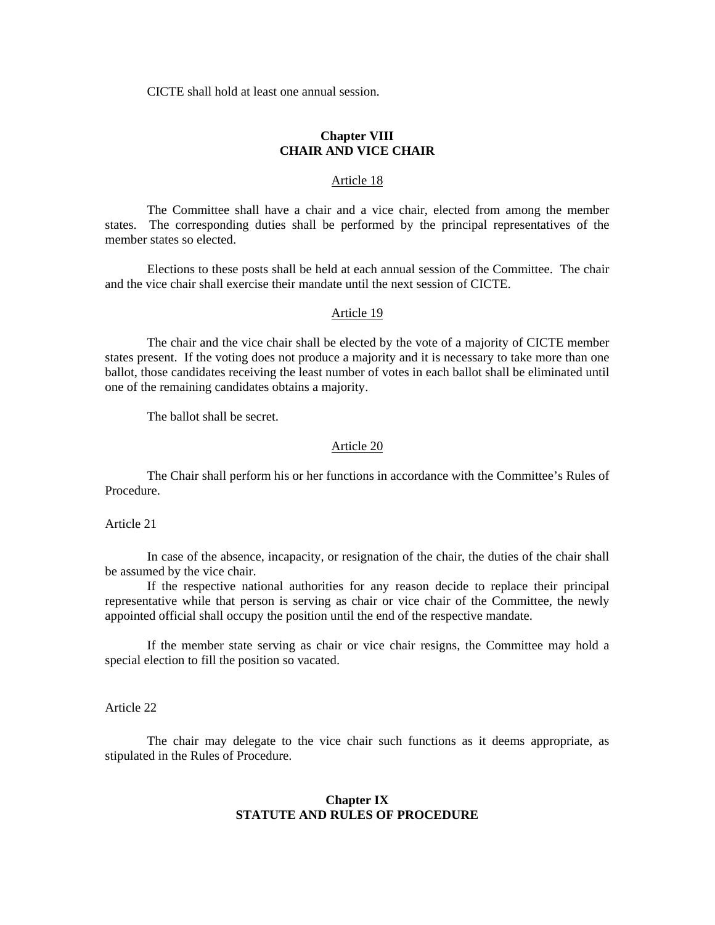CICTE shall hold at least one annual session.

# **Chapter VIII CHAIR AND VICE CHAIR**

### Article 18

 The Committee shall have a chair and a vice chair, elected from among the member states. The corresponding duties shall be performed by the principal representatives of the member states so elected.

Elections to these posts shall be held at each annual session of the Committee. The chair and the vice chair shall exercise their mandate until the next session of CICTE.

#### Article 19

 The chair and the vice chair shall be elected by the vote of a majority of CICTE member states present. If the voting does not produce a majority and it is necessary to take more than one ballot, those candidates receiving the least number of votes in each ballot shall be eliminated until one of the remaining candidates obtains a majority.

The ballot shall be secret.

#### Article 20

 The Chair shall perform his or her functions in accordance with the Committee's Rules of Procedure.

Article 21

In case of the absence, incapacity, or resignation of the chair, the duties of the chair shall be assumed by the vice chair.

If the respective national authorities for any reason decide to replace their principal representative while that person is serving as chair or vice chair of the Committee, the newly appointed official shall occupy the position until the end of the respective mandate.

If the member state serving as chair or vice chair resigns, the Committee may hold a special election to fill the position so vacated.

Article 22

The chair may delegate to the vice chair such functions as it deems appropriate, as stipulated in the Rules of Procedure.

### **Chapter IX STATUTE AND RULES OF PROCEDURE**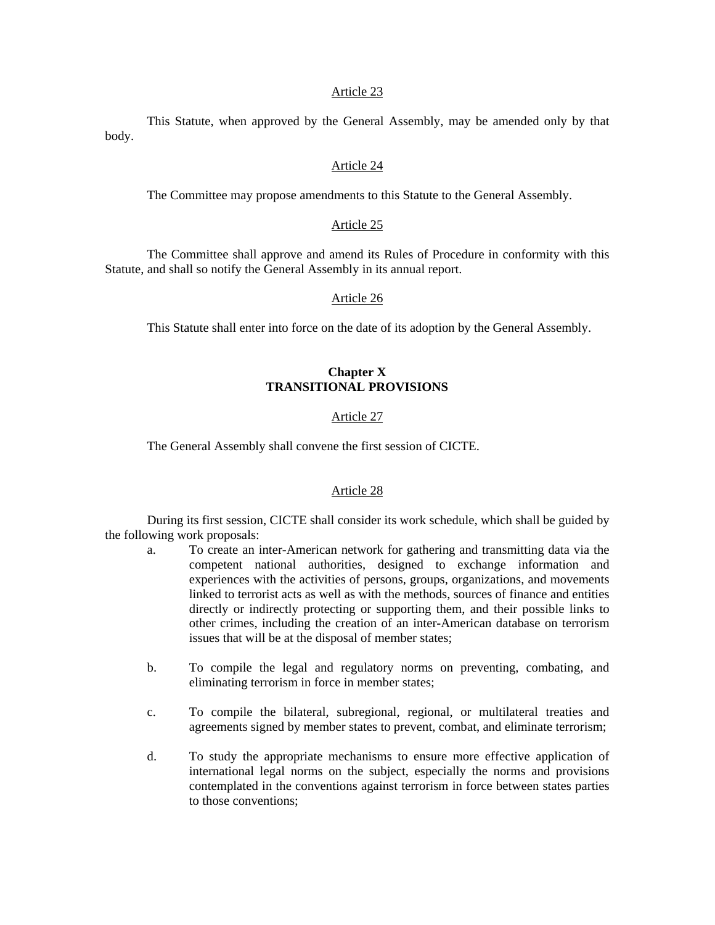#### Article 23

This Statute, when approved by the General Assembly, may be amended only by that body.

### Article 24

The Committee may propose amendments to this Statute to the General Assembly.

### Article 25

The Committee shall approve and amend its Rules of Procedure in conformity with this Statute, and shall so notify the General Assembly in its annual report.

#### Article 26

This Statute shall enter into force on the date of its adoption by the General Assembly.

# **Chapter X TRANSITIONAL PROVISIONS**

### Article 27

The General Assembly shall convene the first session of CICTE.

#### Article 28

During its first session, CICTE shall consider its work schedule, which shall be guided by the following work proposals:

- a. To create an inter-American network for gathering and transmitting data via the competent national authorities, designed to exchange information and experiences with the activities of persons, groups, organizations, and movements linked to terrorist acts as well as with the methods, sources of finance and entities directly or indirectly protecting or supporting them, and their possible links to other crimes, including the creation of an inter-American database on terrorism issues that will be at the disposal of member states;
- b. To compile the legal and regulatory norms on preventing, combating, and eliminating terrorism in force in member states;
- c. To compile the bilateral, subregional, regional, or multilateral treaties and agreements signed by member states to prevent, combat, and eliminate terrorism;
- d. To study the appropriate mechanisms to ensure more effective application of international legal norms on the subject, especially the norms and provisions contemplated in the conventions against terrorism in force between states parties to those conventions;